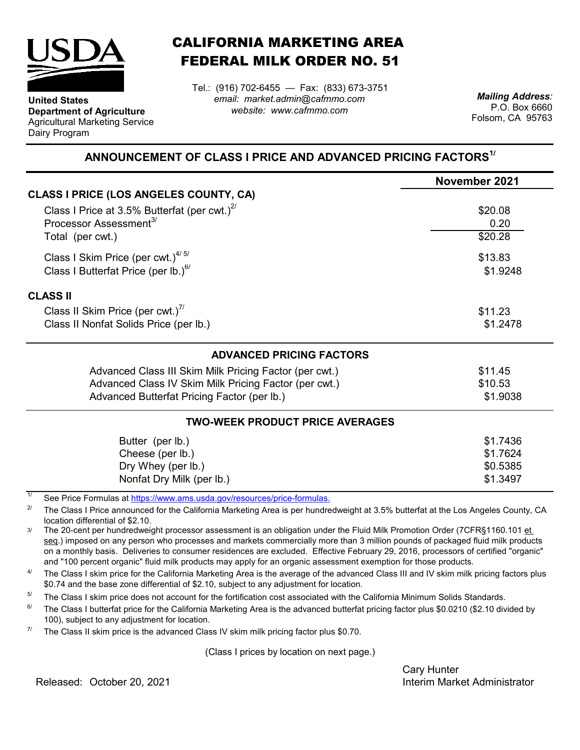

**Department of Agriculture** Agricultural Marketing Service

**United States**

Dairy Program

CALIFORNIA MARKETING AREA FEDERAL MILK ORDER NO. 51

*email: market.admin@cafmmo.com website: www.cafmmo.com* Tel.: (916) 702-6455 — Fax: (833) 673-3751 *Mailing Address:*

P.O. Box 6660 Folsom, CA 95763

## **ANNOUNCEMENT OF CLASS I PRICE AND ADVANCED PRICING FACTORS1/**

|                                                        | November 2021 |
|--------------------------------------------------------|---------------|
| <b>CLASS I PRICE (LOS ANGELES COUNTY, CA)</b>          |               |
| Class I Price at 3.5% Butterfat (per cwt.) $2^{7}$     | \$20.08       |
| Processor Assessment <sup>3/</sup>                     | 0.20          |
| Total (per cwt.)                                       | \$20.28       |
| Class I Skim Price (per cwt.) $4/5/$                   | \$13.83       |
| Class I Butterfat Price (per lb.) $^{6/}$              | \$1.9248      |
| <b>CLASS II</b>                                        |               |
| Class II Skim Price (per cwt.)"                        | \$11.23       |
| Class II Nonfat Solids Price (per lb.)                 | \$1.2478      |
| <b>ADVANCED PRICING FACTORS</b>                        |               |
| Advanced Class III Skim Milk Pricing Factor (per cwt.) | \$11.45       |
| Advanced Class IV Skim Milk Pricing Factor (per cwt.)  | \$10.53       |
| Advanced Butterfat Pricing Factor (per lb.)            | \$1.9038      |
| <b>TWO-WEEK PRODUCT PRICE AVERAGES</b>                 |               |
| Butter (per lb.)                                       | \$1.7436      |
| Cheese (per lb.)                                       | \$1.7624      |
| Dry Whey (per lb.)                                     | \$0.5385      |
| Nonfat Dry Milk (per lb.)                              | \$1.3497      |

1/ [See Price Formulas at h](https://www.ams.usda.gov/resources/price-formulas)ttps://www.ams.usda.gov/resources/price-formulas.

2/ The Class I Price announced for the California Marketing Area is per hundredweight at 3.5% butterfat at the Los Angeles County, CA location differential of \$2.10.

3/ The 20-cent per hundredweight processor assessment is an obligation under the Fluid Milk Promotion Order (7CFR§1160.101 et seq.) imposed on any person who processes and markets commercially more than 3 million pounds of packaged fluid milk products on a monthly basis. Deliveries to consumer residences are excluded. Effective February 29, 2016, processors of certified "organic" and "100 percent organic" fluid milk products may apply for an organic assessment exemption for those products.

 $\Delta l$ The Class I skim price for the California Marketing Area is the average of the advanced Class III and IV skim milk pricing factors plus \$0.74 and the base zone differential of \$2.10, subject to any adjustment for location.

5/ The Class I skim price does not account for the fortification cost associated with the California Minimum Solids Standards.

 $6/$ The Class I butterfat price for the California Marketing Area is the advanced butterfat pricing factor plus \$0.0210 (\$2.10 divided by 100), subject to any adjustment for location.

7/ The Class II skim price is the advanced Class IV skim milk pricing factor plus \$0.70.

(Class I prices by location on next page.)

Cary Hunter Released: Interim Market Administrator October 20, 2021